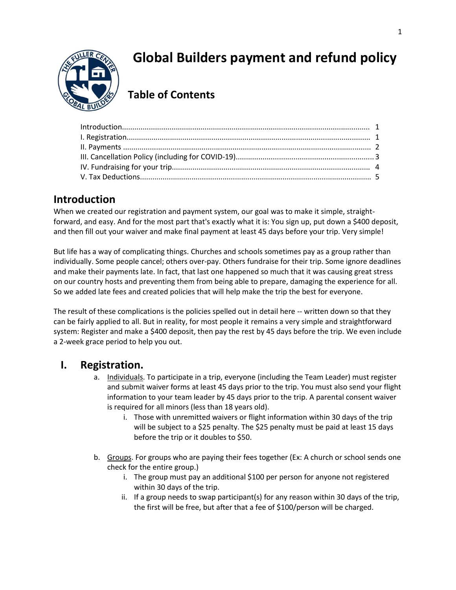

# **Global Builders payment and refund policy**

## **Table of Contents**

### **Introduction**

When we created our registration and payment system, our goal was to make it simple, straightforward, and easy. And for the most part that's exactly what it is: You sign up, put down a \$400 deposit, and then fill out your waiver and make final payment at least 45 days before your trip. Very simple!

But life has a way of complicating things. Churches and schools sometimes pay as a group rather than individually. Some people cancel; others over-pay. Others fundraise for their trip. Some ignore deadlines and make their payments late. In fact, that last one happened so much that it was causing great stress on our country hosts and preventing them from being able to prepare, damaging the experience for all. So we added late fees and created policies that will help make the trip the best for everyone.

The result of these complications is the policies spelled out in detail here -- written down so that they can be fairly applied to all. But in reality, for most people it remains a very simple and straightforward system: Register and make a \$400 deposit, then pay the rest by 45 days before the trip. We even include a 2-week grace period to help you out.

### **I. Registration.**

- a. Individuals. To participate in a trip, everyone (including the Team Leader) must register and submit waiver forms at least 45 days prior to the trip. You must also send your flight information to your team leader by 45 days prior to the trip. A parental consent waiver is required for all minors (less than 18 years old).
	- i. Those with unremitted waivers or flight information within 30 days of the trip will be subject to a \$25 penalty. The \$25 penalty must be paid at least 15 days before the trip or it doubles to \$50.
- b. Groups. For groups who are paying their fees together (Ex: A church or school sends one check for the entire group.)
	- i. The group must pay an additional \$100 per person for anyone not registered within 30 days of the trip.
	- ii. If a group needs to swap participant(s) for any reason within 30 days of the trip, the first will be free, but after that a fee of \$100/person will be charged.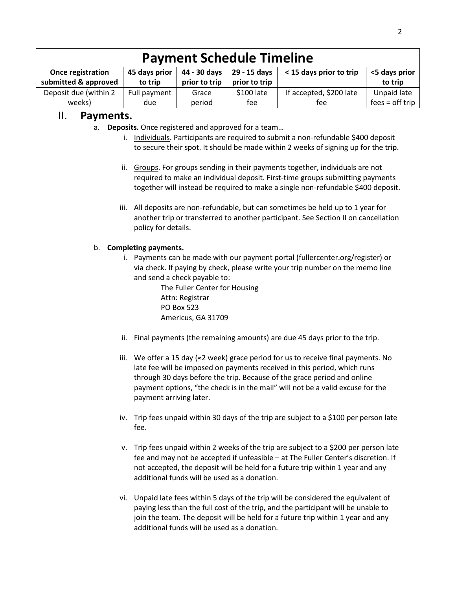| <b>Payment Schedule Timeline</b>          |                          |                               |                               |                         |                          |  |
|-------------------------------------------|--------------------------|-------------------------------|-------------------------------|-------------------------|--------------------------|--|
| Once registration<br>submitted & approved | 45 days prior<br>to trip | 44 - 30 days<br>prior to trip | 29 - 15 days<br>prior to trip | < 15 days prior to trip | <5 days prior<br>to trip |  |
| Deposit due (within 2                     | Full payment             | Grace                         | \$100 late                    | If accepted, \$200 late | Unpaid late              |  |
| weeks)                                    | due                      | period                        | fee                           | tee                     | $fees = off trip$        |  |

### II. **Payments.**

- a. **Deposits.** Once registered and approved for a team…
	- i. Individuals. Participants are required to submit a non-refundable \$400 deposit to secure their spot. It should be made within 2 weeks of signing up for the trip.
	- ii. Groups. For groups sending in their payments together, individuals are not required to make an individual deposit. First-time groups submitting payments together will instead be required to make a single non-refundable \$400 deposit.
	- iii. All deposits are non-refundable, but can sometimes be held up to 1 year for another trip or transferred to another participant. See Section II on cancellation policy for details.

#### b. **Completing payments.**

i. Payments can be made with our payment portal (fullercenter.org/register) or via check. If paying by check, please write your trip number on the memo line and send a check payable to:

> The Fuller Center for Housing Attn: Registrar PO Box 523 Americus, GA 31709

- ii. Final payments (the remaining amounts) are due 45 days prior to the trip.
- iii. We offer a 15 day (≈2 week) grace period for us to receive final payments. No late fee will be imposed on payments received in this period, which runs through 30 days before the trip. Because of the grace period and online payment options, "the check is in the mail" will not be a valid excuse for the payment arriving later.
- iv. Trip fees unpaid within 30 days of the trip are subject to a \$100 per person late fee.
- v. Trip fees unpaid within 2 weeks of the trip are subject to a \$200 per person late fee and may not be accepted if unfeasible – at The Fuller Center's discretion. If not accepted, the deposit will be held for a future trip within 1 year and any additional funds will be used as a donation.
- vi. Unpaid late fees within 5 days of the trip will be considered the equivalent of paying less than the full cost of the trip, and the participant will be unable to join the team. The deposit will be held for a future trip within 1 year and any additional funds will be used as a donation.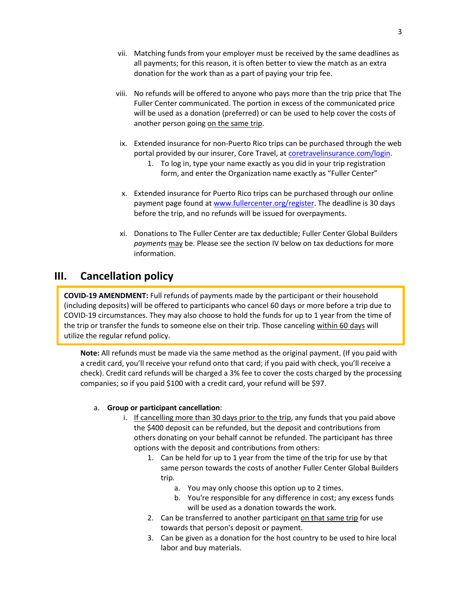- vii. Matching funds from your employer must be received by the same deadlines as all payments; for this reason, it is often better to view the match as an extra donation for the work than as a part of paying your trip fee.
- viii. No refunds will be offered to anyone who pays more than the trip price that The Fuller Center communicated. The portion in excess of the communicated price will be used as a donation (preferred) or can be used to help cover the costs of another person going on the same trip.
- ix. Extended insurance for non-Puerto Rico trips can be purchased through the web portal provided by our insurer, Core Travel, at coretravelinsurance.com/login.
	- 1. To log in, type your name exactly as you did in your trip registration form, and enter the Organization name exactly as "Fuller Center"
- x. Extended insurance for Puerto Rico trips can be purchased through our online payment page found at [www.fullercenter.org/register.](http://www.fullercenter.org/register) The deadline is 30 days before the trip, and no refunds will be issued for overpayments.
- xi. Donations to The Fuller Center are tax deductible; Fuller Center Global Builders *payments* may be. Please see the section IV below on tax deductions for more information.

### **III. Cancellation policy**

**COVID-19 AMENDMENT:** Full refunds of payments made by the participant or their household (including deposits) will be offered to participants who cancel 60 days or more before a trip due to COVID-19 circumstances. They may also choose to hold the funds for up to 1 year from the time of the trip or transfer the funds to someone else on their trip. Those canceling within 60 days will utilize the regular refund policy.

**Note:** All refunds must be made via the same method as the original payment. (If you paid with a credit card, you'll receive your refund onto that card; if you paid with check, you'll receive a check). Credit card refunds will be charged a 3% fee to cover the costs charged by the processing companies; so if you paid \$100 with a credit card, your refund will be \$97.

#### a. **Group or participant cancellation**:

- i. If cancelling more than 30 days prior to the trip, any funds that you paid above the \$400 deposit can be refunded, but the deposit and contributions from others donating on your behalf cannot be refunded. The participant has three options with the deposit and contributions from others:
	- 1. Can be held for up to 1 year from the time of the trip for use by that same person towards the costs of another Fuller Center Global Builders trip.
		- a. You may only choose this option up to 2 times.
		- b. You're responsible for any difference in cost; any excess funds will be used as a donation towards the work.
	- 2. Can be transferred to another participant on that same trip for use towards that person's deposit or payment.
	- 3. Can be given as a donation for the host country to be used to hire local labor and buy materials.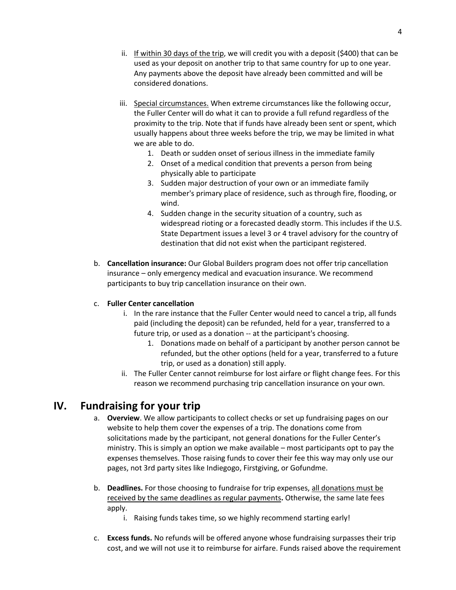- ii. If within 30 days of the trip, we will credit you with a deposit (\$400) that can be used as your deposit on another trip to that same country for up to one year. Any payments above the deposit have already been committed and will be considered donations.
- iii. Special circumstances. When extreme circumstances like the following occur, the Fuller Center will do what it can to provide a full refund regardless of the proximity to the trip. Note that if funds have already been sent or spent, which usually happens about three weeks before the trip, we may be limited in what we are able to do.
	- 1. Death or sudden onset of serious illness in the immediate family
	- 2. Onset of a medical condition that prevents a person from being physically able to participate
	- 3. Sudden major destruction of your own or an immediate family member's primary place of residence, such as through fire, flooding, or wind.
	- 4. Sudden change in the security situation of a country, such as widespread rioting or a forecasted deadly storm. This includes if the U.S. State Department issues a level 3 or 4 travel advisory for the country of destination that did not exist when the participant registered.
- b. **Cancellation insurance:** Our Global Builders program does not offer trip cancellation insurance – only emergency medical and evacuation insurance. We recommend participants to buy trip cancellation insurance on their own.

#### c. **Fuller Center cancellation**

- i. In the rare instance that the Fuller Center would need to cancel a trip, all funds paid (including the deposit) can be refunded, held for a year, transferred to a future trip, or used as a donation -- at the participant's choosing.
	- 1. Donations made on behalf of a participant by another person cannot be refunded, but the other options (held for a year, transferred to a future trip, or used as a donation) still apply.
- ii. The Fuller Center cannot reimburse for lost airfare or flight change fees. For this reason we recommend purchasing trip cancellation insurance on your own.

### **IV. Fundraising for your trip**

- a. **Overview**. We allow participants to collect checks or set up fundraising pages on our website to help them cover the expenses of a trip. The donations come from solicitations made by the participant, not general donations for the Fuller Center's ministry. This is simply an option we make available – most participants opt to pay the expenses themselves. Those raising funds to cover their fee this way may only use our pages, not 3rd party sites like Indiegogo, Firstgiving, or Gofundme.
- b. **Deadlines.** For those choosing to fundraise for trip expenses, all donations must be received by the same deadlines as regular payments**.** Otherwise, the same late fees apply.
	- i. Raising funds takes time, so we highly recommend starting early!
- c. **Excess funds.** No refunds will be offered anyone whose fundraising surpasses their trip cost, and we will not use it to reimburse for airfare. Funds raised above the requirement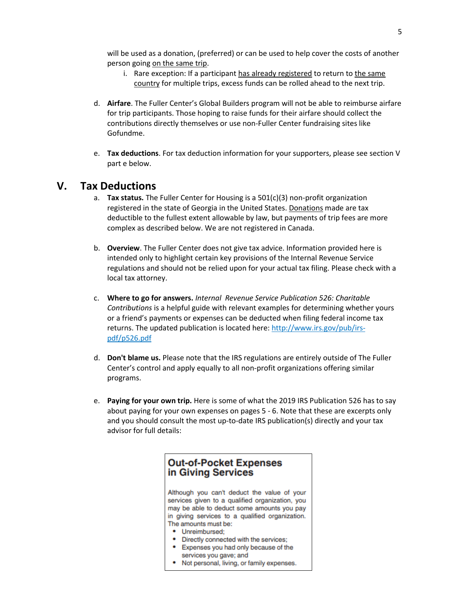will be used as a donation, (preferred) or can be used to help cover the costs of another person going on the same trip.

- i. Rare exception: If a participant has already registered to return to the same country for multiple trips, excess funds can be rolled ahead to the next trip.
- d. **Airfare**. The Fuller Center's Global Builders program will not be able to reimburse airfare for trip participants. Those hoping to raise funds for their airfare should collect the contributions directly themselves or use non-Fuller Center fundraising sites like Gofundme.
- e. **Tax deductions**. For tax deduction information for your supporters, please see section V part e below.

#### **V. Tax Deductions**

- a. **Tax status.** The Fuller Center for Housing is a 501(c)(3) non-profit organization registered in the state of Georgia in the United States. Donations made are tax deductible to the fullest extent allowable by law, but payments of trip fees are more complex as described below. We are not registered in Canada.
- b. **Overview**. The Fuller Center does not give tax advice. Information provided here is intended only to highlight certain key provisions of the Internal Revenue Service regulations and should not be relied upon for your actual tax filing. Please check with a local tax attorney.
- c. **Where to go for answers.** *Internal Revenue Service Publication 526: Charitable Contributions* is a helpful guide with relevant examples for determining whether yours or a friend's payments or expenses can be deducted when filing federal income tax returns. The updated publication is located here: [http://www.irs.gov/pub/irs](http://www.irs.gov/pub/irs-pdf/p526.pdf)[pdf/p526.pdf](http://www.irs.gov/pub/irs-pdf/p526.pdf)
- d. **Don't blame us.** Please note that the IRS regulations are entirely outside of The Fuller Center's control and apply equally to all non-profit organizations offering similar programs.
- e. **Paying for your own trip.** Here is some of what the 2019 IRS Publication 526 has to say about paying for your own expenses on pages 5 - 6. Note that these are excerpts only and you should consult the most up-to-date IRS publication(s) directly and your tax advisor for full details:

#### **Out-of-Pocket Expenses** in Giving Services

Although you can't deduct the value of your services given to a qualified organization, you may be able to deduct some amounts you pay in giving services to a qualified organization. The amounts must be:

- Unreimbursed:
- Directly connected with the services;
- Expenses you had only because of the services you gave; and
- Not personal, living, or family expenses.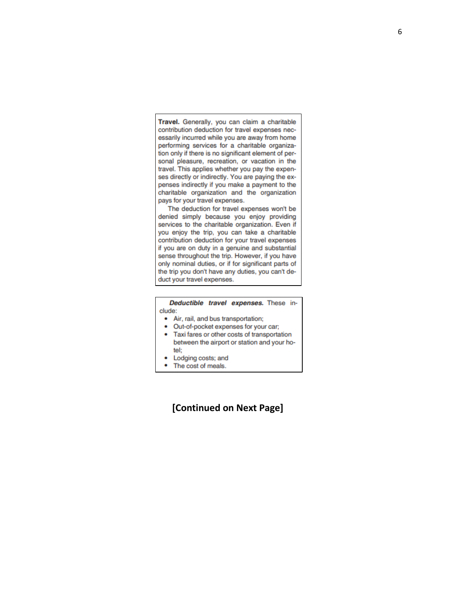Travel. Generally, you can claim a charitable contribution deduction for travel expenses necessarily incurred while you are away from home performing services for a charitable organization only if there is no significant element of personal pleasure, recreation, or vacation in the travel. This applies whether you pay the expenses directly or indirectly. You are paying the expenses indirectly if you make a payment to the charitable organization and the organization pays for your travel expenses.

The deduction for travel expenses won't be denied simply because you enjoy providing services to the charitable organization. Even if you enjoy the trip, you can take a charitable contribution deduction for your travel expenses if you are on duty in a genuine and substantial sense throughout the trip. However, if you have only nominal duties, or if for significant parts of the trip you don't have any duties, you can't deduct your travel expenses.

Deductible travel expenses. These include:

- Air, rail, and bus transportation;
- $\bullet$ Out-of-pocket expenses for your car;
- ٠ Taxi fares or other costs of transportation between the airport or station and your hotel:
- Lodging costs; and ٠
- ۰ The cost of meals.

#### **[Continued on Next Page]**